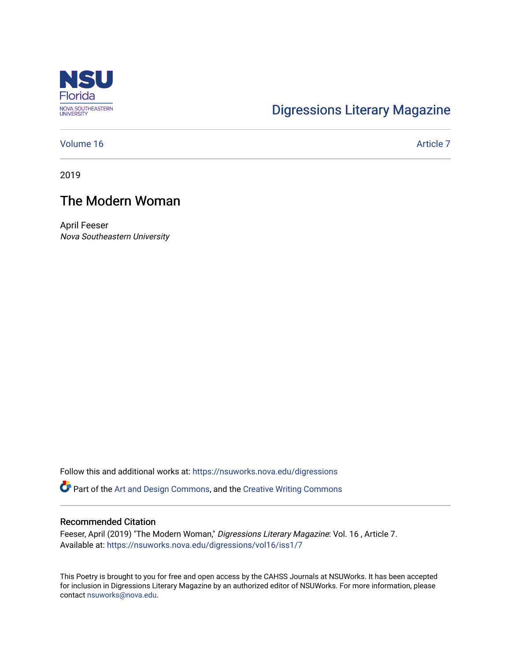

## [Digressions Literary Magazine](https://nsuworks.nova.edu/digressions)

### [Volume 16](https://nsuworks.nova.edu/digressions/vol16) Article 7

2019

## The Modern Woman

April Feeser Nova Southeastern University

Follow this and additional works at: [https://nsuworks.nova.edu/digressions](https://nsuworks.nova.edu/digressions?utm_source=nsuworks.nova.edu%2Fdigressions%2Fvol16%2Fiss1%2F7&utm_medium=PDF&utm_campaign=PDFCoverPages) 

Part of the [Art and Design Commons](http://network.bepress.com/hgg/discipline/1049?utm_source=nsuworks.nova.edu%2Fdigressions%2Fvol16%2Fiss1%2F7&utm_medium=PDF&utm_campaign=PDFCoverPages), and the [Creative Writing Commons](http://network.bepress.com/hgg/discipline/574?utm_source=nsuworks.nova.edu%2Fdigressions%2Fvol16%2Fiss1%2F7&utm_medium=PDF&utm_campaign=PDFCoverPages)

#### Recommended Citation

Feeser, April (2019) "The Modern Woman," Digressions Literary Magazine: Vol. 16, Article 7. Available at: [https://nsuworks.nova.edu/digressions/vol16/iss1/7](https://nsuworks.nova.edu/digressions/vol16/iss1/7?utm_source=nsuworks.nova.edu%2Fdigressions%2Fvol16%2Fiss1%2F7&utm_medium=PDF&utm_campaign=PDFCoverPages) 

This Poetry is brought to you for free and open access by the CAHSS Journals at NSUWorks. It has been accepted for inclusion in Digressions Literary Magazine by an authorized editor of NSUWorks. For more information, please contact [nsuworks@nova.edu.](mailto:nsuworks@nova.edu)